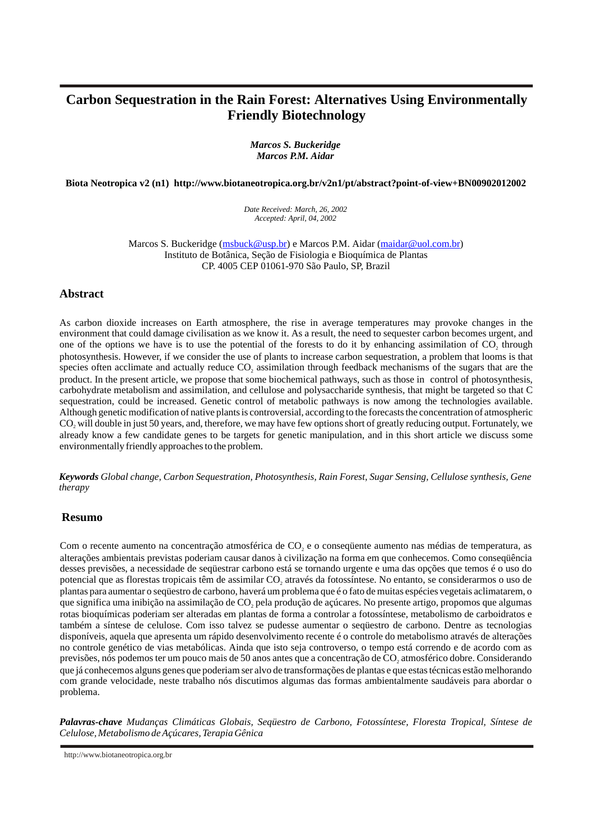# **Carbon Sequestration in the Rain Forest: Alternatives Using Environmentally Friendly Biotechnology**

*Marcos S. Buckeridge Marcos P.M. Aidar*

**Biota Neotropica v2 (n1) <http://www.biotaneotropica.org.br/v2n1/pt/abstract?point-of-view+BN00902012002>**

*Date Received: March, 26, 2002 Accepted: April, 04, 2002*

Marcos S. Buckeridge ([msbuck@usp.br](mailto:msbuck@usp.br)) e Marcos P.M. Aidar ([maidar@uol.com.br](mailto:maidar@uol.com.br)) Instituto de Botânica, Seção de Fisiologia e Bioquímica de Plantas CP. 4005 CEP 01061-970 São Paulo, SP, Brazil

# **Abstract**

As carbon dioxide increases on Earth atmosphere, the rise in average temperatures may provoke changes in the environment that could damage civilisation as we know it. As a result, the need to sequester carbon becomes urgent, and one of the options we have is to use the potential of the forests to do it by enhancing assimilation of CO, through photosynthesis. However, if we consider the use of plants to increase carbon sequestration, a problem that looms is that species often acclimate and actually reduce CO, assimilation through feedback mechanisms of the sugars that are the product. In the present article, we propose that some biochemical pathways, such as those in control of photosynthesis, carbohydrate metabolism and assimilation, and cellulose and polysaccharide synthesis, that might be targeted so that C sequestration, could be increased. Genetic control of metabolic pathways is now among the technologies available. Although genetic modification of native plants is controversial, according to the forecasts the concentration of atmospheric CO<sub>2</sub> will double in just 50 years, and, therefore, we may have few options short of greatly reducing output. Fortunately, we already know a few candidate genes to be targets for genetic manipulation, and in this short article we discuss some environmentally friendly approaches to the problem.

*Keywords Global change, Carbon Sequestration, Photosynthesis, Rain Forest, Sugar Sensing, Cellulose synthesis, Gene therapy*

### **Resumo**

Com o recente aumento na concentração atmosférica de CO<sub>2</sub> e o consequente aumento nas médias de temperatura, as alterações ambientais previstas poderiam causar danos à civilização na forma em que conhecemos. Como conseqüência desses previsões, a necessidade de seqüestrar carbono está se tornando urgente e uma das opções que temos é o uso do potencial que as florestas tropicais têm de assimilar CO através da fotossíntese. No entanto, se considerarmos o uso de <sup>2</sup> plantas para aumentar o seqüestro de carbono, haverá um problema que é o fato de muitas espécies vegetais aclimatarem, o que significa uma inibição na assimilação de CO pela produção de açúcares. No presente artigo, propomos que algumas <sup>2</sup> rotas bioquímicas poderiam ser alteradas em plantas de forma a controlar a fotossíntese, metabolismo de carboidratos e também a síntese de celulose. Com isso talvez se pudesse aumentar o seqüestro de carbono. Dentre as tecnologias disponíveis, aquela que apresenta um rápido desenvolvimento recente é o controle do metabolismo através de alterações no controle genético de vias metabólicas. Ainda que isto seja controverso, o tempo está correndo e de acordo com as previsões, nós podemos ter um pouco mais de 50 anos antes que a concentração de CO atmosférico dobre. Considerando <sup>2</sup> que já conhecemos alguns genes que poderiam ser alvo de transformações de plantas e que estas técnicas estão melhorando com grande velocidade, neste trabalho nós discutimos algumas das formas ambientalmente saudáveis para abordar o problema.

*Palavras-chave Mudanças Climáticas Globais, Seqüestro de Carbono, Fotossíntese, Floresta Tropical, Síntese de Celulose, Metabolismo de Açúcares, Terapia Gênica*

<http://www.biotaneotropica.org.br>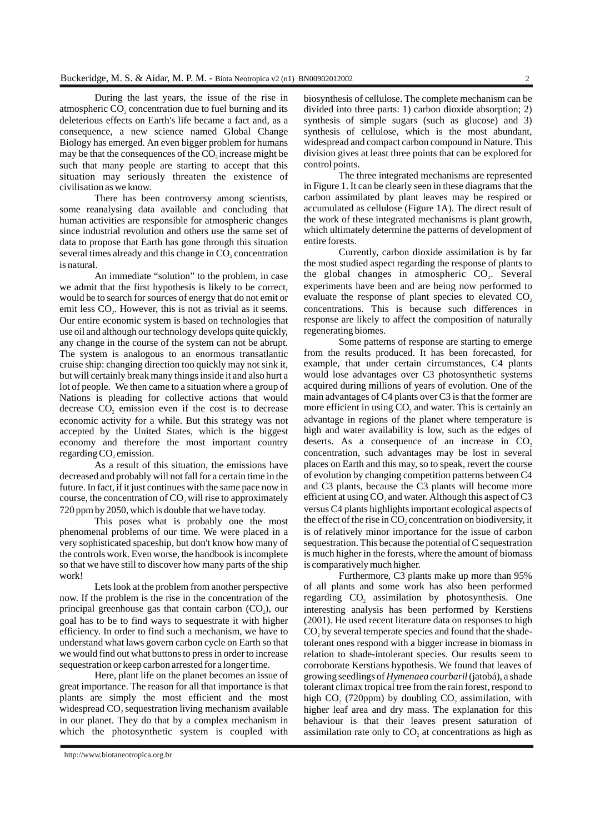During the last years, the issue of the rise in atmospheric CO<sub>2</sub> concentration due to fuel burning and its deleterious effects on Earth's life became a fact and, as a consequence, a new science named Global Change Biology has emerged. An even bigger problem for humans may be that the consequences of the  $CO<sub>2</sub>$  increase might be such that many people are starting to accept that this situation may seriously threaten the existence of civilisation as we know.

There has been controversy among scientists, some reanalysing data available and concluding that human activities are responsible for atmospheric changes since industrial revolution and others use the same set of data to propose that Earth has gone through this situation several times already and this change in CO<sub>2</sub> concentration is natural.

An immediate "solution" to the problem, in case we admit that the first hypothesis is likely to be correct, would be to search for sources of energy that do not emit or emit less CO<sub>2</sub>. However, this is not as trivial as it seems. Our entire economic system is based on technologies that use oil and although our technology develops quite quickly, any change in the course of the system can not be abrupt. The system is analogous to an enormous transatlantic cruise ship: changing direction too quickly may not sink it, but will certainly break many things inside it and also hurt a lot of people. We then came to a situation where a group of Nations is pleading for collective actions that would decrease CO<sub>2</sub> emission even if the cost is to decrease economic activity for a while. But this strategy was not accepted by the United States, which is the biggest economy and therefore the most important country regarding CO<sub>2</sub> emission.

As a result of this situation, the emissions have decreased and probably will not fall for a certain time in the future. In fact, if it just continues with the same pace now in course, the concentration of CO<sub>2</sub> will rise to approximately 720 ppm by 2050, which is double that we have today.

This poses what is probably one the most phenomenal problems of our time. We were placed in a very sophisticated spaceship, but don't know how many of the controls work. Even worse, the handbook is incomplete so that we have still to discover how many parts of the ship work!

Lets look at the problem from another perspective now. If the problem is the rise in the concentration of the principal greenhouse gas that contain carbon  $(CO<sub>2</sub>)$ , our goal has to be to find ways to sequestrate it with higher efficiency. In order to find such a mechanism, we have to understand what laws govern carbon cycle on Earth so that we would find out what buttons to press in order to increase sequestration or keep carbon arrested for a longer time.

Here, plant life on the planet becomes an issue of great importance. The reason for all that importance is that plants are simply the most efficient and the most widespread CO<sub>2</sub> sequestration living mechanism available in our planet. They do that by a complex mechanism in which the photosynthetic system is coupled with

biosynthesis of cellulose. The complete mechanism can be divided into three parts: 1) carbon dioxide absorption; 2) synthesis of simple sugars (such as glucose) and 3) synthesis of cellulose, which is the most abundant, widespread and compact carbon compound in Nature. This division gives at least three points that can be explored for control points.

The three integrated mechanisms are represented in Figure 1. It can be clearly seen in these diagrams that the carbon assimilated by plant leaves may be respired or accumulated as cellulose (Figure 1A). The direct result of the work of these integrated mechanisms is plant growth, which ultimately determine the patterns of development of entire forests.

Currently, carbon dioxide assimilation is by far the most studied aspect regarding the response of plants to the global changes in atmospheric  $CO<sub>2</sub>$ . Several experiments have been and are being now performed to evaluate the response of plant species to elevated CO<sub>2</sub> concentrations. This is because such differences in response are likely to affect the composition of naturally regenerating biomes.

Some patterns of response are starting to emerge from the results produced. It has been forecasted, for example, that under certain circumstances, C4 plants would lose advantages over C3 photosynthetic systems acquired during millions of years of evolution. One of the main advantages of C4 plants over C3 is that the former are more efficient in using  $CO$ , and water. This is certainly an advantage in regions of the planet where temperature is high and water availability is low, such as the edges of deserts. As a consequence of an increase in  $CO<sub>2</sub>$ concentration, such advantages may be lost in several places on Earth and this may, so to speak, revert the course of evolution by changing competition patterns between C4 and C3 plants, because the C3 plants will become more efficient at using  $CO$ , and water. Although this aspect of  $C_3$ versus C4 plants highlights important ecological aspects of the effect of the rise in  $CO$ , concentration on biodiversity, it is of relatively minor importance for the issue of carbon sequestration. This because the potential of C sequestration is much higher in the forests, where the amount of biomass is comparatively much higher.

Furthermore, C3 plants make up more than 95% of all plants and some work has also been performed regarding CO<sub>2</sub> assimilation by photosynthesis. One interesting analysis has been performed by Kerstiens (2001). He used recent literature data on responses to high  $CO<sub>2</sub>$  by several temperate species and found that the shadetolerant ones respond with a bigger increase in biomass in relation to shade-intolerant species. Our results seem to corroborate Kerstians hypothesis. We found that leaves of growing seedlings of *Hymenaea courbaril* (jatobá), a shade tolerant climax tropical tree from the rain forest, respond to high  $CO<sub>2</sub>$  (720ppm) by doubling  $CO<sub>2</sub>$  assimilation, with higher leaf area and dry mass. The explanation for this behaviour is that their leaves present saturation of assimilation rate only to  $CO<sub>2</sub>$  at concentrations as high as

<http://www.biotaneotropica.org.br>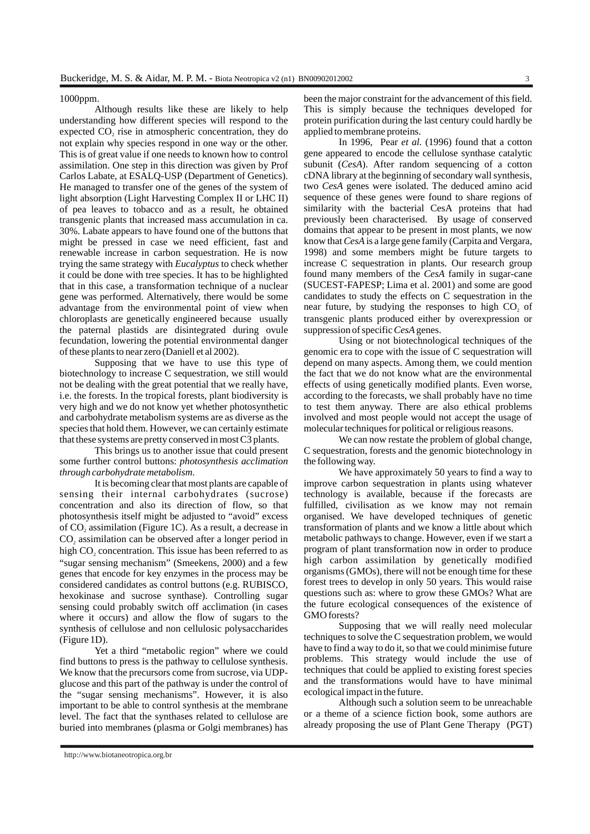#### 1000ppm.

Although results like these are likely to help understanding how different species will respond to the expected  $CO<sub>2</sub>$  rise in atmospheric concentration, they do not explain why species respond in one way or the other. This is of great value if one needs to known how to control assimilation. One step in this direction was given by Prof Carlos Labate, at ESALQ-USP (Department of Genetics). He managed to transfer one of the genes of the system of light absorption (Light Harvesting Complex II or LHC II) of pea leaves to tobacco and as a result, he obtained transgenic plants that increased mass accumulation in ca. 30%. Labate appears to have found one of the buttons that might be pressed in case we need efficient, fast and renewable increase in carbon sequestration. He is now trying the same strategy with *Eucalyptus* to check whether it could be done with tree species. It has to be highlighted that in this case, a transformation technique of a nuclear gene was performed. Alternatively, there would be some advantage from the environmental point of view when chloroplasts are genetically engineered because usually the paternal plastids are disintegrated during ovule fecundation, lowering the potential environmental danger of these plants to near zero (Daniell et al 2002).

Supposing that we have to use this type of biotechnology to increase C sequestration, we still would not be dealing with the great potential that we really have, i.e. the forests. In the tropical forests, plant biodiversity is very high and we do not know yet whether photosynthetic and carbohydrate metabolism systems are as diverse as the species that hold them. However, we can certainly estimate that these systems are pretty conserved in most C3 plants.

This brings us to another issue that could present some further control buttons: *photosynthesis acclimation through carbohydrate metabolism*.

It is becoming clear that most plants are capable of sensing their internal carbohydrates (sucrose) concentration and also its direction of flow, so that photosynthesis itself might be adjusted to "avoid" excess of CO, assimilation (Figure 1C). As a result, a decrease in CO, assimilation can be observed after a longer period in high CO<sub>2</sub> concentration. This issue has been referred to as "sugar sensing mechanism" (Smeekens, 2000) and a few genes that encode for key enzymes in the process may be considered candidates as control buttons (e.g. RUBISCO, hexokinase and sucrose synthase). Controlling sugar sensing could probably switch off acclimation (in cases where it occurs) and allow the flow of sugars to the synthesis of cellulose and non cellulosic polysaccharides (Figure 1D).

Yet a third "metabolic region" where we could find buttons to press is the pathway to cellulose synthesis. We know that the precursors come from sucrose, via UDPglucose and this part of the pathway is under the control of the "sugar sensing mechanisms". However, it is also important to be able to control synthesis at the membrane level. The fact that the synthases related to cellulose are buried into membranes (plasma or Golgi membranes) has been the major constraint for the advancement of this field. This is simply because the techniques developed for protein purification during the last century could hardly be applied to membrane proteins.

In 1996, Pear *et al.* (1996) found that a cotton gene appeared to encode the cellulose synthase catalytic subunit (*CesA*). After random sequencing of a cotton cDNA library at the beginning of secondary wall synthesis, two *CesA* genes were isolated. The deduced amino acid sequence of these genes were found to share regions of similarity with the bacterial CesA proteins that had previously been characterised. By usage of conserved domains that appear to be present in most plants, we now know that *CesA* is a large gene family (Carpita and Vergara, 1998) and some members might be future targets to increase C sequestration in plants. Our research group found many members of the *CesA* family in sugar-cane (SUCEST-FAPESP; Lima et al. 2001) and some are good candidates to study the effects on C sequestration in the near future, by studying the responses to high CO<sub>2</sub> of transgenic plants produced either by overexpression or suppression of specific *CesA* genes.

Using or not biotechnological techniques of the genomic era to cope with the issue of C sequestration will depend on many aspects. Among them, we could mention the fact that we do not know what are the environmental effects of using genetically modified plants. Even worse, according to the forecasts, we shall probably have no time to test them anyway. There are also ethical problems involved and most people would not accept the usage of molecular techniques for political or religious reasons.

We can now restate the problem of global change, C sequestration, forests and the genomic biotechnology in the following way.

We have approximately 50 years to find a way to improve carbon sequestration in plants using whatever technology is available, because if the forecasts are fulfilled, civilisation as we know may not remain organised. We have developed techniques of genetic transformation of plants and we know a little about which metabolic pathways to change. However, even if we start a program of plant transformation now in order to produce high carbon assimilation by genetically modified organisms (GMOs), there will not be enough time for these forest trees to develop in only 50 years. This would raise questions such as: where to grow these GMOs? What are the future ecological consequences of the existence of GMO forests?

Supposing that we will really need molecular techniques to solve the C sequestration problem, we would have to find a way to do it, so that we could minimise future problems. This strategy would include the use of techniques that could be applied to existing forest species and the transformations would have to have minimal ecological impact in the future.

Although such a solution seem to be unreachable or a theme of a science fiction book, some authors are already proposing the use of Plant Gene Therapy (PGT)

<http://www.biotaneotropica.org.br>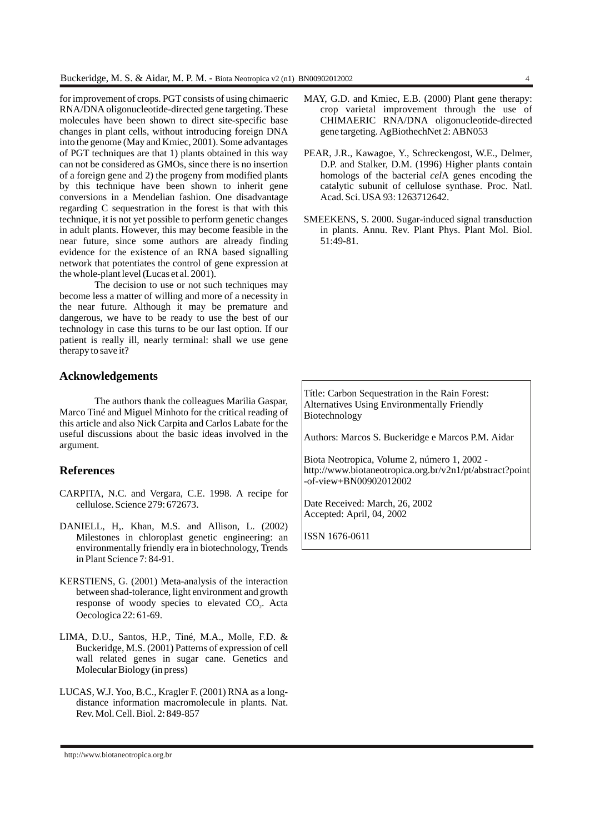for improvement of crops. PGT consists of using chimaeric RNA/DNA oligonucleotide-directed gene targeting. These molecules have been shown to direct site-specific base changes in plant cells, without introducing foreign DNA into the genome (May and Kmiec, 2001). Some advantages of PGT techniques are that 1) plants obtained in this way can not be considered as GMOs, since there is no insertion of a foreign gene and 2) the progeny from modified plants by this technique have been shown to inherit gene conversions in a Mendelian fashion. One disadvantage regarding C sequestration in the forest is that with this technique, it is not yet possible to perform genetic changes in adult plants. However, this may become feasible in the near future, since some authors are already finding evidence for the existence of an RNA based signalling network that potentiates the control of gene expression at the whole-plant level (Lucas et al. 2001).

The decision to use or not such techniques may become less a matter of willing and more of a necessity in the near future. Although it may be premature and dangerous, we have to be ready to use the best of our technology in case this turns to be our last option. If our patient is really ill, nearly terminal: shall we use gene therapy to save it?

## **Acknowledgements**

The authors thank the colleagues Marilia Gaspar, Marco Tiné and Miguel Minhoto for the critical reading of this article and also Nick Carpita and Carlos Labate for the useful discussions about the basic ideas involved in the argument.

### **References**

- CARPITA, N.C. and Vergara, C.E. 1998. A recipe for cellulose. Science 279: 672673.
- DANIELL, H,. Khan, M.S. and Allison, L. (2002) Milestones in chloroplast genetic engineering: an environmentally friendly era in biotechnology, Trends in Plant Science 7: 84-91.
- KERSTIENS, G. (2001) Meta-analysis of the interaction between shad-tolerance, light environment and growth response of woody species to elevated CO<sub>2</sub>. Acta Oecologica 22: 61-69.
- LIMA, D.U., Santos, H.P., Tiné, M.A., Molle, F.D. & Buckeridge, M.S. (2001) Patterns of expression of cell wall related genes in sugar cane. Genetics and Molecular Biology (in press)
- LUCAS, W.J. Yoo, B.C., Kragler F. (2001) RNA as a longdistance information macromolecule in plants. Nat. Rev. Mol. Cell. Biol. 2: 849-857
- MAY, G.D. and Kmiec, E.B. (2000) Plant gene therapy: crop varietal improvement through the use of CHIMAERIC RNA/DNA oligonucleotide-directed gene targeting. AgBiothechNet 2: ABN053
- PEAR, J.R., Kawagoe, Y., Schreckengost, W.E., Delmer, D.P. and Stalker, D.M. (1996) Higher plants contain homologs of the bacterial *cel*A genes encoding the catalytic subunit of cellulose synthase. Proc. Natl. Acad. Sci. USA 93: 1263712642.
- SMEEKENS, S. 2000. Sugar-induced signal transduction in plants. Annu. Rev. Plant Phys. Plant Mol. Biol. 51:49-81.

Títle: Carbon Sequestration in the Rain Forest: Alternatives Using Environmentally Friendly Biotechnology

Authors: Marcos S. Buckeridge e Marcos P.M. Aidar

Biota Neotropica, Volume 2, número 1, 2002 [http://www.biotaneotropica.org.br/v2n1/pt/abstract?point](http://www.biotaneotropica.org.br/v2n1/pt/abstract?point-of-view+BN00902012002) -of-view+BN00902012002

Date Received: March, 26, 2002 Accepted: April, 04, 2002

ISSN 1676-0611

<http://www.biotaneotropica.org.br>